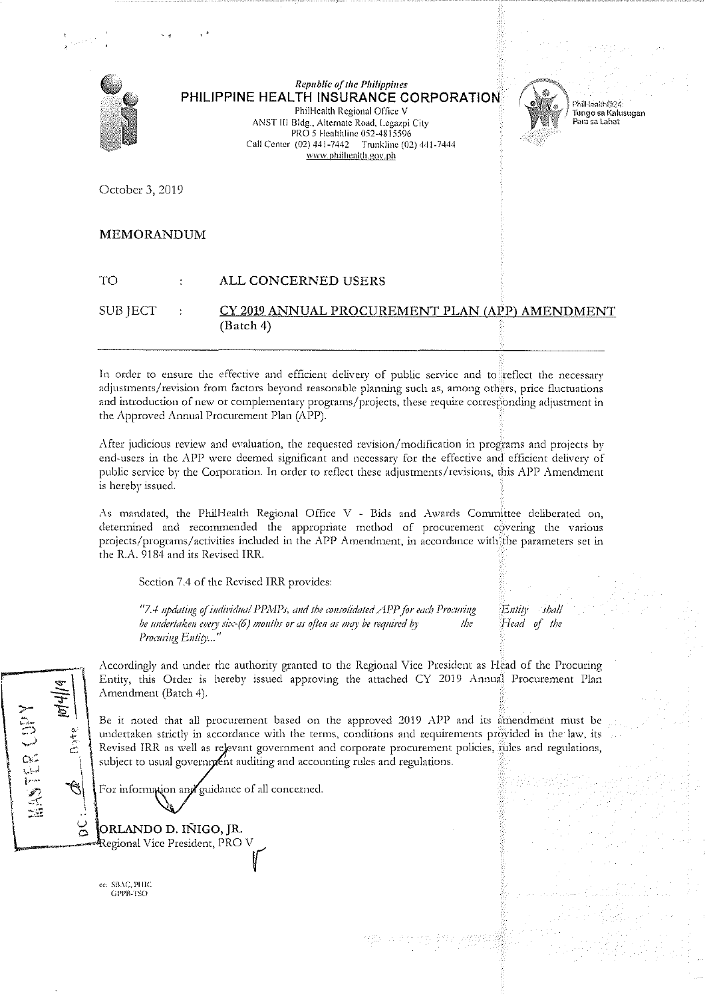

**Republic of the Philippines** PHILIPPINE HEALTH INSURANCE CORPORATION Phill-lealth Regional Office V

ANST III Bldg., Alternate Road, Legazpi City PRO 5 Healthline 052-4815596 Call Center (02) 441-7442 Trunkline (02) 441-7444 www.philhealth.gov.ph



.<br>หากครั้ง เป็นสาราช 1 Tungo sa Kalusugan Para sa Labat

October 3, 2019

## **MEMORANDUM**

### **TO ALL CONCERNED USERS**

#### CY 2019 ANNUAL PROCUREMENT PLAN (APP) AMENDMENT **SUB JECT**  $(Batch 4)$

In order to ensure the effective and efficient delivery of public service and to reflect the necessary adjustments/revision from factors beyond reasonable planning such as, among others, price fluctuations and introduction of new or complementary programs/projects, these require corresponding adjustment in the Approved Annual Procurement Plan (APP).

After judicious review and evaluation, the requested revision/modification in programs and projects by end-users in the APP were deemed significant and necessary for the effective and efficient delivery of public service by the Corporation. In order to reflect these adjustments/revisions, this APP Amendment is hereby issued.

As mandated, the PhilHealth Regional Office V - Bids and Awards Committee deliberated on, determined and recommended the appropriate method of procurement covering the various projects/programs/activities included in the APP Amendment, in accordance with the parameters set in the R.A. 9184 and its Revised IRR.

Section 7.4 of the Revised IRR provides:

"7.4 updating of individual PPMPs, and the consolidated APP for each Procuring be undertaken every six- $(6)$  months or as often as may be required by  $\iota$ Procuring Entity..."

Entity shali Head of the

Accordingly and under the authority granted to the Regional Vice President as Head of the Procuring Entity, this Order is hereby issued approving the attached CY 2019 Annual Procurement Plan Amendment (Batch 4).

Be it noted that all procurement based on the approved 2019 APP and its amendment must be undertaken strictly in accordance with the terms, conditions and requirements provided in the law, its Revised IRR as well as relevant government and corporate procurement policies, fules and regulations, subject to usual government auditing and accounting rules and regulations.

For information and guidance of all concerned.

ORLANDO D. IÑIGO, JR. Regional Vice President, PRO V

ec: SBAC, PHIC GPPP.3SO

HASTER COL

 $rac{v}{C}$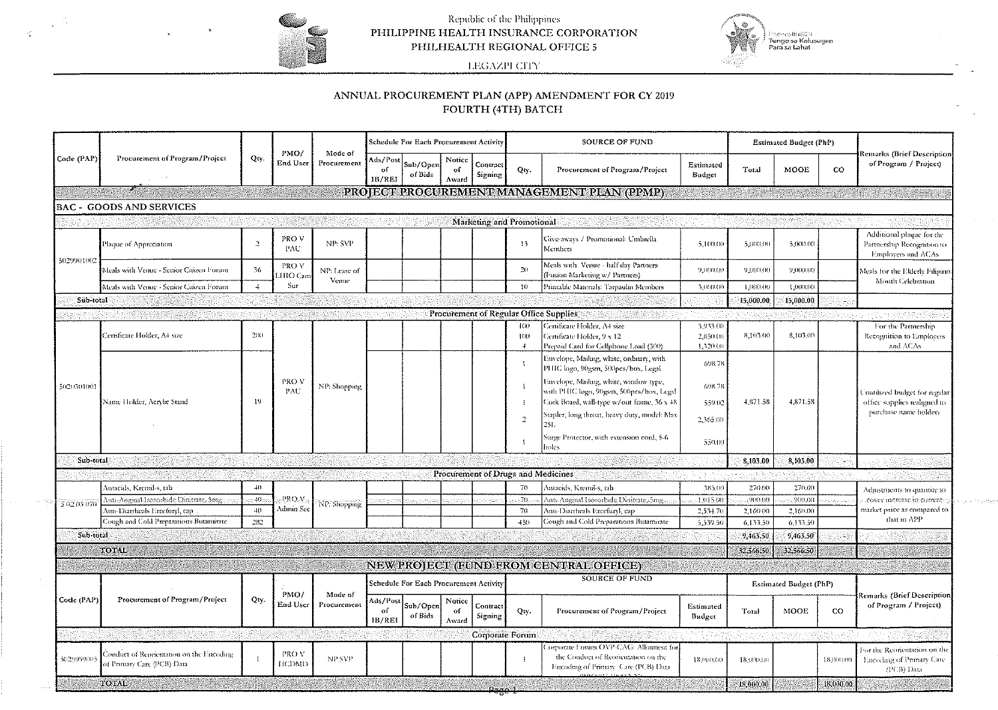

 $\frac{1}{2}$ 

# Republic of the Philippines<br>PHILIPPINE HEALTH INSURANCE CORPORATION PHILHEALTH REGIONAL OFFICE 5



LEGAZPI CITY

## ANNUAL PROCUREMENT PLAN (APP) AMENDMENT FOR CY 2019 FOURTH (4TH) BATCH

| Code (PAP)  | Procurement of Program/Project                                           | Qty.           | PMO/<br>End User   | Mode of<br>Procurement | Schedule For Each Procurement Activity |                     |                       |                                    |                      | SOURCE OF FUND                                                                                                       | Estimated Budget (PhP)           |           |                        |                                   |                                                                                        |
|-------------|--------------------------------------------------------------------------|----------------|--------------------|------------------------|----------------------------------------|---------------------|-----------------------|------------------------------------|----------------------|----------------------------------------------------------------------------------------------------------------------|----------------------------------|-----------|------------------------|-----------------------------------|----------------------------------------------------------------------------------------|
|             |                                                                          |                |                    |                        | Ads/Post<br>of<br>IB/REI               | Sub/Open<br>of Bids | Notice<br>оf<br>Award | Contract<br>Signing                | Qty.                 | Procurement of Program/Project                                                                                       | Estimated<br>Budget              | Total     | MOOE                   | $_{\rm co}$                       | Remarks (Brief Description<br>of Program / Project)                                    |
|             |                                                                          |                |                    |                        |                                        |                     |                       |                                    |                      | PROJECT PROCUREMENT MANAGEMENT PLAN (PPMP)                                                                           |                                  |           |                        |                                   |                                                                                        |
|             | <b>BAC - GOODS AND SERVICES</b>                                          |                |                    |                        |                                        |                     |                       |                                    |                      |                                                                                                                      |                                  |           |                        |                                   |                                                                                        |
|             |                                                                          |                |                    |                        |                                        |                     |                       | Marketing and Promotional          |                      |                                                                                                                      |                                  |           |                        |                                   |                                                                                        |
| 5029901002  | Plaque of Appreciation                                                   | $\mathbb{R}$   | PRO V<br>PAU       | NP: SVP                |                                        |                     |                       |                                    | 13                   | Give-aways / Promotional: Umbrella<br>Members                                                                        | 5,100,00                         | 5,000,00  | 5,000,00               |                                   | Additional plaque for the<br>Partnership Recognition to<br>Employers and ACAs          |
|             | Meals with Venue - Senior Citizen Forum                                  | 36             | PRO V<br>HIO Can   | NP: Lease of<br>Venue  |                                        |                     |                       |                                    | 20                   | Meals with Venue - half day Partners<br>(Fusion Marketing w/ Partners)                                               | 9.000.00                         | 9 000 00  | 9,000,00               |                                   | Meals for the Elderly Filipine<br>Mouth Celebration                                    |
|             | Meals with Venue - Senior Citizen Forum                                  | $\overline{4}$ | Sur                |                        |                                        |                     |                       |                                    | $10 -$               | Printable Materials: Tarpaulin Members                                                                               | 3,000,00                         | 1,000.00  | 1,000,00               |                                   |                                                                                        |
| Sub-total   |                                                                          |                |                    |                        |                                        |                     |                       |                                    |                      |                                                                                                                      |                                  | 15,000.00 | 15,000.00              |                                   |                                                                                        |
|             |                                                                          |                |                    |                        |                                        |                     |                       |                                    |                      | Procurement of Regular Office Supplies                                                                               |                                  |           |                        |                                   |                                                                                        |
| 5020501001  | Certificate Holder, A4 size                                              | $200 -$        |                    |                        |                                        |                     |                       |                                    | 100<br>-100<br>$\pm$ | Certificate Holder, A4 size<br>Certificate Holder, 9 x 12.<br>Prepaid Card for Cellphone Load (300)                  | 3,933.00<br>2.850,00<br>1,320.00 | 8,105.00  | 8.103.00               |                                   | For the Partnership<br>Recognition to Employers<br>and ACAs                            |
|             | Name Holder, Acrylic Stand                                               | -19            | <b>PROV</b><br>PAU | NP: Shopping           |                                        |                     |                       |                                    | $\overline{1}$       | Envelope, Mailing, white, ordinary, with<br>PHIC logo, 90gsm, 500pcs/box, Legal                                      | 698.78                           |           |                        |                                   | inatilized budget for regular<br>office supplies realigned to<br>purchase name holders |
|             |                                                                          |                |                    |                        |                                        |                     |                       |                                    | R                    | Envelope, Mailing, white, window type,<br>with PHIC logo, 90gsm, 500pcs/box, Legal                                   | 698.78                           |           |                        |                                   |                                                                                        |
|             |                                                                          |                |                    |                        |                                        |                     |                       |                                    | $\mathbf{I}$         | Cork Board, wall-type w/out frame, 36 x 48                                                                           | 559.02                           | 4.871.58  | 4.871.58               |                                   |                                                                                        |
|             |                                                                          |                |                    |                        |                                        |                     |                       |                                    | $\overline{2}$       | Stapler, long throat, heavy duty, model: Max<br>251.                                                                 | 2,365.00                         |           |                        |                                   |                                                                                        |
|             |                                                                          |                |                    |                        |                                        |                     |                       |                                    |                      | Surge Protector, with extension cord, 5-6<br>mles                                                                    | 550.00                           |           |                        |                                   |                                                                                        |
| Sub-total   |                                                                          |                |                    |                        |                                        |                     |                       |                                    |                      |                                                                                                                      |                                  | 8.105.00  | 8,105.00               | 93                                |                                                                                        |
|             |                                                                          |                |                    |                        |                                        |                     |                       | Procurement of Drugs and Medicines |                      |                                                                                                                      |                                  |           |                        |                                   |                                                                                        |
| 3 02 03 070 | Antacids, Kremil-s, tab                                                  | 40             |                    |                        |                                        |                     |                       |                                    | 70                   | Antacids, Kremil-s, tab                                                                                              | 385.00                           | 270.00    | 270.00                 |                                   | Adjustments to quantity to                                                             |
|             | Anti-Anginal Isosorbide Dinitrate, Smg                                   | $-40$          | PRO <sub>V</sub>   | NP: Shopping           |                                        |                     |                       |                                    | .70.                 | Anti-Anginal Isosorbide Dinitrate, 5mg.                                                                              | 4,015.00                         | 900.00    | .900.00                |                                   | cover increase in current-                                                             |
|             | Anti-Diarrheals Ercefuryl, cap<br>Cough and Cold Preparations Butamirate | $-40$<br>282   | Admin Sec          |                        |                                        |                     |                       |                                    | 70                   | Anti-Diarrheals Ercefuryl, cap<br>Cough and Cold Preparations Butamirate                                             | 2,534.70                         | 2.160.00  | 2,160.00               |                                   | market price as compared to<br>that in APP                                             |
|             |                                                                          |                |                    |                        |                                        |                     |                       |                                    | $+50$                |                                                                                                                      | 5,539.50                         | 6.133.50  | 6.133.50               |                                   |                                                                                        |
| Sub-total   |                                                                          |                |                    |                        |                                        |                     |                       |                                    |                      |                                                                                                                      |                                  | 9.463.50  | 9.463.50               | 11                                |                                                                                        |
|             | TOTAL                                                                    |                |                    |                        |                                        |                     |                       |                                    |                      |                                                                                                                      |                                  | 32,566,50 | 32,566.50              | S.                                |                                                                                        |
|             |                                                                          |                |                    |                        |                                        |                     |                       |                                    |                      | NEW PROJECT (FUND FROM CENTRAL OFFICE)                                                                               |                                  |           |                        |                                   |                                                                                        |
| Code (PAP)  | Procurement of Program/Project                                           | Qty.           | PMO/<br>End User   | Mode of<br>Procurement | Schedule For Each Procurement Activity |                     |                       |                                    |                      | <b>SOURCE OF FUND</b>                                                                                                |                                  |           | Estimated Budget (PhP) | <b>Remarks (Brief Description</b> |                                                                                        |
|             |                                                                          |                |                    |                        | Ads/Post<br>of<br>IB/REI               | Sub/Open<br>of Bids | Notice<br>оf<br>Award | Contract<br>Signing                | Qty.                 | Procurement of Program/Project                                                                                       | Estimated<br>Budget              | Total     | MOOE                   | $\rm{CO}$                         | of Program / Project)                                                                  |
|             |                                                                          |                |                    |                        |                                        |                     |                       | Corporate Forum                    |                      |                                                                                                                      |                                  |           |                        |                                   |                                                                                        |
| 5029999003  | Conduct of Reorientation on the Encoding<br>of Pemary Care (PCB) Data    |                | PRO V<br>HCDMD     | NP:SVP                 |                                        |                     |                       |                                    | $\cdot$              | omorate Forum OVP-CAG: Allotment for<br>the Conduct of Reorientation on the<br>Encoding of Primary. Care (PCB) Data. | 18,000,00                        | 18,000,00 |                        | 18,000,00                         | For the Reorientation on the<br>Encoding of Primary Care<br>(PCB) Data                 |
|             |                                                                          |                |                    |                        |                                        |                     |                       |                                    |                      |                                                                                                                      |                                  |           |                        |                                   |                                                                                        |